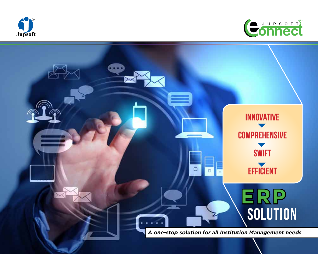



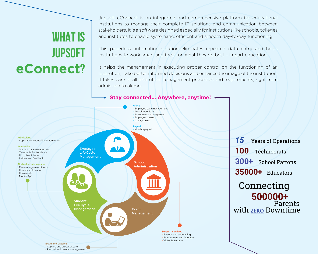# **WHAT IS JUPSOFT eConnect?**

Jupsoft eConnect is an integrated and comprehensive platform for educational institutions to manage their complete IT solutions and communication between stakeholders. It is a software designed especially for institutions like schools, colleges and institutes to enable systematic, efficient and smooth day-to-day functioning.

This paperless automation solution eliminates repeated data entry and helps institutions to work smart and focus on what they do best – impart education!

It helps the management in executing proper control on the functioning of an Institution, take better informed decisions and enhance the image of the institution. It takes care of all institution management processes and requirements, right from admission to alumni…

## **Stay connected… Anywhere, anytime!**

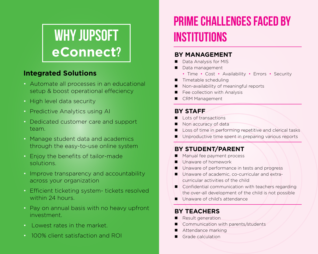# WHY JUPSOFT **eConnect**?

## **Integrated Solutions**

- Automate all processes in an educational setup & boost operational effeciency
- High level data security
- Predictive Analytics using AI
- Dedicated customer care and support team.
- Manage student data and academics through the easy-to-use online system
- Enjoy the benefits of tailor-made solutions.
- Improve transparency and accountability across your organization
- Efficient ticketing system- tickets resolved within 24 hours.
- Pay on annual basis with no heavy upfront investment.
- Lowest rates in the market.
- 100% client satisfaction and ROI

# **Prime Challenges faced by Institutions**

## **By Management**

- Data Analysis for MIS
- Data management
	- Time Cost Availability Errors Security
- $\blacksquare$  Timetable scheduling
- Non-availability of meaningful reports
- Fee collection with Analysis
- CRM Management

## **By staff**

- n Lots of transactions
- Non accuracy of data
- Loss of time in performing repetitive and clerical tasks
- Unproductive time spent in preparing various reports

## **By student/parent**

- **n** Manual fee payment process
- $\blacksquare$  Unaware of homework
- Unaware of performance in tests and progress
- Unaware of academic, co-curricular and extracurricular activities of the child
- $\Box$  Confidential communication with teachers regarding the over-all development of the child is not possible
- Unaware of child's attendance

## **By teachers**

- Result generation
- Communication with parents/students
- Attendance marking
- Grade calculation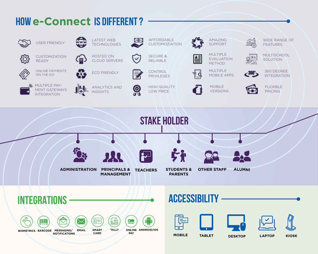# **how e-Connect is dIFFERENT ?**

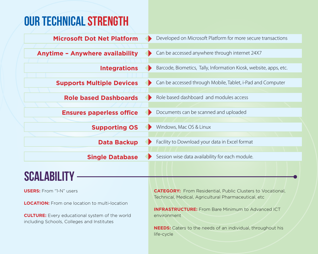# **our technical strength**

| <b>Microsoft Dot Net Platform</b>                                                                   | Developed on Microsoft Platform for more secure transactions                                                                                                                                                                 |
|-----------------------------------------------------------------------------------------------------|------------------------------------------------------------------------------------------------------------------------------------------------------------------------------------------------------------------------------|
| <b>Anytime - Anywhere availability</b>                                                              | Can be accessed anywhere through internet 24X7<br>Barcode, Biometics, Tally, Information Kiosk, website, apps, etc.<br>Can be accessed through Mobile, Tablet, i-Pad and Computer<br>Role based dashboard and modules access |
| <b>Integrations</b>                                                                                 |                                                                                                                                                                                                                              |
| <b>Supports Multiple Devices</b>                                                                    |                                                                                                                                                                                                                              |
| <b>Role based Dashboards</b>                                                                        |                                                                                                                                                                                                                              |
| <b>Ensures paperless office</b>                                                                     | Documents can be scanned and uploaded                                                                                                                                                                                        |
| <b>Supporting OS</b>                                                                                | Windows, Mac OS & Linux                                                                                                                                                                                                      |
| <b>Data Backup</b>                                                                                  | Facility to Download your data in Excel format                                                                                                                                                                               |
| <b>Single Database</b>                                                                              | Session wise data availability for each module.                                                                                                                                                                              |
| <b>SCALABILITY</b>                                                                                  |                                                                                                                                                                                                                              |
| <b>USERS:</b> From "1-N" users                                                                      | <b>CATEGORY:</b> From Residential, Public Clusters to Vocational,                                                                                                                                                            |
| <b>LOCATION:</b> From one location to multi-location                                                | Technical, Medical, Agricultural Pharmaceutical, etc<br><b>INFRASTRUCTURE:</b> From Bare Minimum to Advanced ICT                                                                                                             |
| <b>CULTURE:</b> Every educational system of the world<br>including Schools, Colleges and Institutes | environment                                                                                                                                                                                                                  |

**NEEDS:** Caters to the needs of an individual, throughout his life-cycle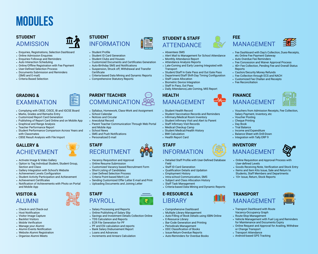# **Modules**

## **STUDENT ADMISSION**

- Enquiries, Registrations, Selection Dashboard
- Online Admission Enquiries
- Enquiries Followup and Reminders
- Auto Interaction Scheduling
- Online/Offline Registration with Fee Payment
- User-Defined Selection Process
- Documents Submission and Reminders
- (SMS and E-mail) • Criteria Based Selection
- 

## **GRADING & FXAMINATION**

- Complying with CBSE, CISCE, IB and IGCSE Board
- Marks, Grades and Remarks Entry
- Customized Report Card Generation
- Publishing of Report Card Online and on Mobile App
- Graphical and Range Analysis
- Teacher Performance Report
- Student Performance Comparison Across Years and with Classmates
- CBSE Result Analysis with File Import



- Activate Image & Video Gallery
- Option to Tag Individual Student, Student Group, Section and Class
- Gallery Integration with School's Website
- Achievement Levels Configuration
- Student Activity Participation and Achievement
- Achievement Certificates
- Notification of Achievements with Photo on Portal and Mobile App

## **VISITOR &** ALUMNI

- Check-in and Check-out
- Host Notification
- Visitor Image Capture
- Backlist Visitors
- Mobile Verification
- Manage your Alumni • Alumni Events Notification
- Website Alumni Registration
- Organise Alumni Meets



- **STUDENT** INFORMATION
- Student Profile
- Student ID Card Generation
- Student Clubs and Houses
- Customized Documents and Certificates Generation
- Auto-Birthday SMS and Notifications
- Suspension, Struck off, Withdrawal and Transfer **Certificate**
- Criteria-based Data Mining and Dynamic Reports
- Comprehensive Statutory Reports

## **PARENT TEACHER COMMUNICATION**

- Syllabus, Homework, Class-Work and Assignment
- School Calendar
- Notices and Circular
- Anecdotal Record
- Parent Teacher Communication Through Web Portal and Mobile App
- School News
- SMS and Push Notifications
- Personalized E-mail





- Online Resume Submission
- Customized Vacancy based Recruitment Form
- Short-Listing of Candidates
- User Defined Selection Process
- Criteria Point-based Merit List
- Sending Customized Offer Letter E-mail and Print
- Uploading Documents and Joining Letter

## **STAFF** PAYROLL

- Salary Processing and Reports
- Online Publishing of Salary Slip
- Savings and Investment Details Collection Online
- TDS Calculation and Reports
- ECR File Generation for PF
- PF and ESI calculation and reports
- Bank Salary Disbursement Report
- Loans and Advances
- Increments and Arrears Calculation

## **STUDENT & STAFF** ATTENDANCE

- Absentees SMS
- Alert Mail to Management for School Attendance

**FEE**

Reports

• Fee Reconciliation

**FINANCE**

• Voucher Posting • Cheque Printing • Day Book • Trial Balance • Income and Expenditure • Balance Sheet with Drill-Down • Integration with Tally ERP 9

**INVENTORY**

User-defined Levels

**TRANSPORT**

or Change Transport • Transport Attendance • Android-based GPS Tracking

MANAGEMENT • Transport Dashboard with Route Vacancy-Occupancy Graph • Route-Stop Management

MANAGEMENT

etc Online Fee Payment Gateway • Auto Overdue Fee Reminders

• Caution/Security Money Refunds • Fee Collection through ECS and NACH • Customized Fee Challan and Receipts

MANAGEMENT

Salary Payment, Inventory, etc

**MANAGEMENT** 

• Online Requisition and Approval Process with

• Goods Receiving Note, Verification and Stock Entry • Items and Item Kits Issue, Sale and Return to Students, Staff Members and Departments • 10+ Issue, Return, Stock Reports

• Vehicle Management with Fuel Log and Reminders for Maintenance and Documents Expiry • Online Request and Approval for Availing, Withdraw

• Fee Dashboard with Day's Collection, Dues-Receipts,

• Vouchers from Admission Receipts, Fee Collection,

• Fee Concession and Waiver Approval Process • 40+ Fee Collection, Pending Fee and Overall Status

- Monthly Attendance Report
- Attendance Analysis Reports
- Late-Coming and Early Leaving Integrated with **Transport**
- Student/Staff In Gate Pass and Out Gate Pass
- Department/Staff Shift-Day Timing Configuration • Staff Leave Allocation
- Biometric Device Integration
- Staff In Pass, Out Pass
- Daily Attendance,Late Coming, MIS Report

## **HEALTH** MANAGEMENT

- Student Health Record
- Student Vaccination Records and Reminders
- Infirmary/Medical Room Inventory
- Student Infirmary Visit and Alert to Parent
- Staff Infirmary Visit Records
- Medical Checkup Camp
- Student Medical/Health History
- BMI Calculation
- Health Report Card

## **STAFF** INFORMATION

• Detailed Staff Profile with User-Defined Database Field

• Criteria-based Data Mining and Dynamic Reports

• Auto-Filling of Book Details using ISBN Online

- Staff ID Card Generation
- Qualification Details and Updation • Employment History

**E-RESOURCE &** LIBRARY

• E-Resource Library

• Comprehensive Dashboard • Multiple Library Management

• Bar-Code Generation and Printing • Periodicals Management • DDC Classification of Books • Issue-Return-Overdue Reports • Auto-Reminders for Overdue Books

• Intra-school Communication, SMS • Subject and Class Allocation History • Staff Task Management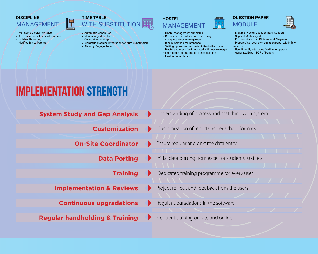## **DISCIPLINE**

• Incident Reporting • Notification to Parents

• Managing Discipline/Rules • Access to Disciplinary Information

## **MANAGEMEN**



• Biometric Machine Integration for Auto Substitution

• Manual adjustments • Constraints Settings

• Standby/Engage Report

- **HOSTEL MANAGEMENT**
- Hostel management simplified
- Rooms and bed allocation made easy
- Complete Mess management
- Disciplinary log maintenance
- Setting up fees as per the facilities in the hostel
- Hostel and mess fee integrated with fees management module for automated fee calculation





- Multiple type of Question Bank Support
- Support Multi-lingual
- Provision to import Pictures and Diagrams
- Prepare / Set your own question paper within few
- minutes. • User Friendly interfaces flexible to operate
- Generate/Export PDF of Papers

• Final account details

# **implementation strength**

- **System Study and Gap Analysis**
	- **Customization**
	- **On-Site Coordinator**
		- **Data Porting**
			- **Training**
	- **Implementation & Reviews**
		- **Continuous upgradations**
- **Regular handholding & Training**
- 
- Initial data porting from excel for students, staff etc.
- Dedicated training programme for every user
- Project roll out and feedback from the users
- Regular upgradations in the software
- Frequent training on-site and online

- Understanding of process and matching with system
- Customization of reports as per school formats
- Ensure regular and on-time data entry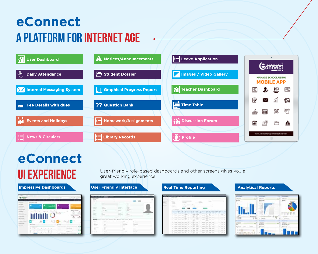# **eConnect A platform for internet age**



# **eConnect**

# $\sim$

**UI EXPERIENCE** User-friendly role-based dashboards and other screens gives you a great working experience. great working experience.

# **Impressive Dashboards <b>COVERSI** User Friendly Interface **Real Time Reporting Analytical Reports**

|  |                             | ディ型 |                                                                                                |   |   | $=$ $\times$    |         | 4 Kit 46 |                   |  |  |  |
|--|-----------------------------|-----|------------------------------------------------------------------------------------------------|---|---|-----------------|---------|----------|-------------------|--|--|--|
|  |                             |     |                                                                                                |   |   | <b>Contract</b> |         |          |                   |  |  |  |
|  |                             |     |                                                                                                |   |   |                 |         |          |                   |  |  |  |
|  |                             |     | $\frac{1}{2} \left( \frac{1}{2} \right) \left( \frac{1}{2} \right) \left( \frac{1}{2} \right)$ |   |   | ÷               |         |          | <b>CONTRACTOR</b> |  |  |  |
|  |                             |     |                                                                                                |   |   |                 |         |          |                   |  |  |  |
|  |                             |     |                                                                                                |   |   | $-0.001$        |         |          |                   |  |  |  |
|  |                             |     |                                                                                                |   |   |                 |         |          |                   |  |  |  |
|  | progressive company company |     |                                                                                                | ٠ | ٠ |                 |         |          |                   |  |  |  |
|  | and company company states. |     |                                                                                                |   |   |                 |         |          |                   |  |  |  |
|  |                             |     |                                                                                                |   |   | $=$             |         |          |                   |  |  |  |
|  |                             |     |                                                                                                |   |   | <b>STATE</b>    | come of |          |                   |  |  |  |
|  |                             |     |                                                                                                |   | ۰ |                 |         |          |                   |  |  |  |

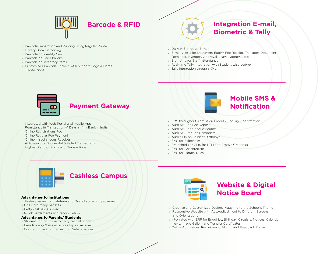

- » Barcode Generation and Printing Using Regular Printer
- » Library Book Barcoding
- » Barcode on Identity Card
- » Barcode on Fee Challans
- » Barcode on Inventory Items
- » Customized Barcode Stickers wtih School's Logo & Name **Transactions**

## **Integration E-mail, Biometric & Tally**

» Daily MIS through E-mail

- » E-mail Alerts for Document Expiry, Fee Receipt, Transport Document Reminder, Inventory Approval, Leave Approval, etc.
- » Biometric for Staff Attendance
- » Real-time Tally Integration with Student wise Ledger
- » Tally Integration through XML



- » Integrated with Web Portal and Mobile App
- » Remittance in Transaction +1 Days in Any Bank in India
- » Online Registrations Fee
- » Online Regular Fee Payment
- » Online Miscellaneous Receipts
- » Auto-sync for Successful & Failed Transactions
- » Highest Ratio of Successful Transactions



- » SMS throughout Admission Process: Enquiry-Confirmation
- » Auto SMS on Fee Deposit
- » Auto SMS on Cheque Bounce
- » Auto SMS for Fee Reminders
- » Auto-SMS on Student Birthdays
- » SMS for Exigencies
- » Pre-scheduled SMS for PTM and Festive Greetings
- » SMS for Absenteeism
- » SMS for Library Dues



## Advantages to Institutions

- » Faster payment at cafeteria and Overall system improvement.
- » One Card many benefits.
- » Petty cash issue solved.
- » Quick Settlements and reconciliation

### Advantages to Parents/ Students

- » Students do not have to carry cash at schools.
- » Ease to carry & use as simple tap on receiver.
- » Constant check on transaction. Safe & Secure.



- » Creative and Customized Designs Matching to the School's Theme
- » Responsive Website with Auto-adjustment to Different Screens and Orientations
- » Integrated with ERP for Enquiries, Birthday, Circulars, Notices, Calender, News, Image Gallery and Transfer Certificates
- » Online Admissions, Recruitment, Alumni and Feedback Forms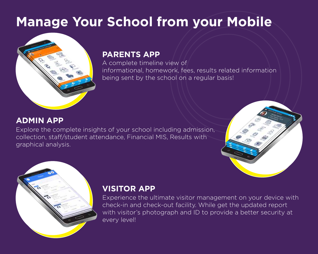# **Manage Your School from your Mobile**



## **PARENTS APP**

A complete timeline view of informational, homework, fees, results related information being sent by the school on a regular basis!

## **ADMIN APP**

Explore the complete insights of your school including admission, collection, staff/student attendance, Financial MIS, Results with graphical analysis.





## **VISITOR APP**

Experience the ultimate visitor management on your device with check-in and check-out facility. While get the updated report with visitor's photograph and ID to provide a better security at every level!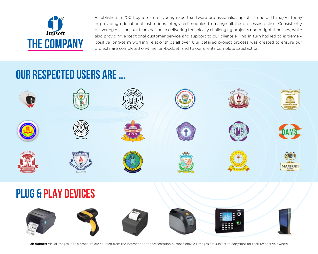

Established in 2004 by a team of young expert software professionals, Jupsoft is one of IT majors today in providing educational institutions integrated modules to mange all the processes online. Consistently delivering mission, our team has been delivering technically challenging projects under tight timelines, while also providing exceptional customer service and support to our clientele. This in turn has led to extremely positive long-term working relationships all over. Our detailed project process was created to ensure our projects are completed on-time, on-budget, and to our clients complete satisfaction.

# **our respected users ARE ...**



**Disclaimer:** Visual Images in this brochure are sourced from the internet and for presentation purpose only. All images are subject to copyright for their respective owners.